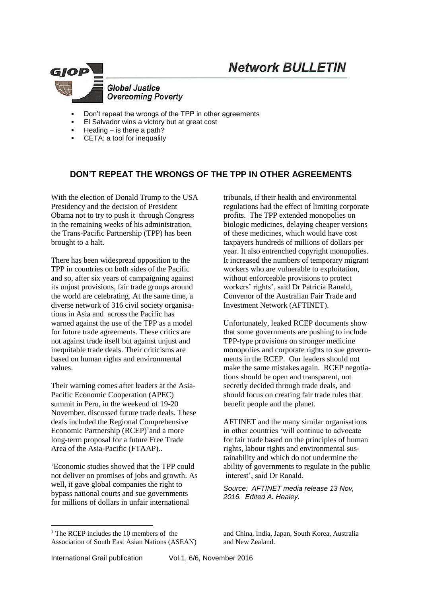# **Network BULLETIN**



- Don't repeat the wrongs of the TPP in other agreements
- El Salvador wins a victory but at great cost
- Healing is there a path?
- CETA: a tool for inequality

## **DON'T REPEAT THE WRONGS OF THE TPP IN OTHER AGREEMENTS**

With the election of Donald Trump to the USA Presidency and the decision of President Obama not to try to push it through Congress in the remaining weeks of his administration, the Trans-Pacific Partnership (TPP) has been brought to a halt.

There has been widespread opposition to the TPP in countries on both sides of the Pacific and so, after six years of campaigning against its unjust provisions, fair trade groups around the world are celebrating. At the same time, a diverse network of 316 civil society organisations in Asia and across the Pacific has warned against the use of the TPP as a model for future trade agreements. These critics are not against trade itself but against unjust and inequitable trade deals. Their criticisms are based on human rights and environmental values.

Their warning comes after leaders at the Asia-Pacific Economic Cooperation (APEC) summit in Peru, in the weekend of 19-20 November, discussed future trade deals. These deals included the Regional Comprehensive Economic Partnership  $(RCEP)^1$  and a more long-term proposal for a future Free Trade Area of the Asia-Pacific (FTAAP)..

['Economic studies](http://www.smh.com.au/federal-politics/political-news/transpacific-partnership-will-barely-benefit-australia-says-world-bank-report-20160111-gm3g9w.html) showed that the TPP could not deliver on promises of jobs and growth. As well, it gave global companies the right to [bypass national courts and sue governments](http://cdn.getup.org.au/1929-Tienhaara_TPP_Final.pdf) for millions of dollars in unfair international

tribunals, if their health and environmental regulations had the effect of limiting corporate profits. The TPP extended [monopolies on](http://www.pc.gov.au/__data/assets/pdf_file/0003/195258/sub128-intellectual-property.pdf)  [biologic medicines,](http://www.pc.gov.au/__data/assets/pdf_file/0003/195258/sub128-intellectual-property.pdf) delaying cheaper versions of these medicines, which would have cost taxpayers [hundreds of millions of dollars per](http://dfat.gov.au/trade/agreements/tpp/negotiations/Documents/tpp_sub_gleeson_lopert_moir.pdf)  [year.](http://dfat.gov.au/trade/agreements/tpp/negotiations/Documents/tpp_sub_gleeson_lopert_moir.pdf) It also entrenche[d copyright monopolies.](https://works.bepress.com/kimweatherall/34/) It increased the numbers of temporary migrant workers who are vulnerable to exploitation. without enforceable provisions to protect workers' rights', said Dr Patricia Ranald, Convenor of the Australian Fair Trade and Investment Network (AFTINET).

Unfortunately, [leaked RCEP documents](http://keionline.org/node/2472) show that some governments are pushing to include TPP-type provisions on stronger medicine monopolies and corporate rights to sue governments in the RCEP. Our leaders should not make the same mistakes again. RCEP negotiations should be open and transparent, not secretly decided through trade deals, and should focus on creating fair trade rules that benefit people and the planet.

AFTINET and the many similar organisations in other countries 'will continue to advocate for fair trade based on the principles of human rights, labour rights and environmental sustainability and which do not undermine the ability of governments to regulate in the public interest', said Dr Ranald.

*Source: AFTINET media release 13 Nov, 2016. Edited A. Healey.*

and China, India, Japan, South Korea, Australia and New Zealand.

International Grail publication Vol.1, 6/6, November 2016

1

 $<sup>1</sup>$  The RCEP includes the 10 members of the</sup> Association of South East Asian Nations (ASEAN)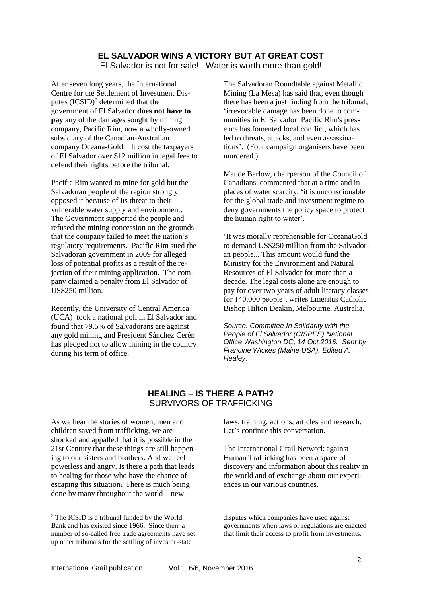## **EL SALVADOR WINS A VICTORY BUT AT GREAT COST**

El Salvador is not for sale! Water is worth more than gold!

After seven long years, the International Centre for the Settlement of Investment Disputes (ICSID)<sup>2</sup> determined that the government of El Salvador **does not have to pay** any of the damages sought by mining company, Pacific Rim, now a wholly-owned subsidiary of the Canadian-Australian company Oceana-Gold. It cost the taxpayers of El Salvador over \$12 million in legal fees to defend their rights before the tribunal.

Pacific Rim wanted to mine for gold but the Salvadoran people of the region strongly opposed it because of its threat to their vulnerable water supply and environment. The Government supported the people and refused the mining concession on the grounds that the company failed to meet the nation's regulatory requirements. Pacific Rim sued the Salvadoran government in 2009 for alleged loss of potential profits as a result of the rejection of their mining application. The company claimed a penalty from El Salvador of US\$250 million.

Recently, the University of Central America (UCA) took a national poll in El Salvador and found that 79.5% of Salvadorans are against any gold mining and President Sánchez Cerén has pledged not to allow mining in the country during his term of office.

The Salvadoran Roundtable against Metallic Mining (La Mesa) has said that, even though there has been a just finding from the tribunal, 'irrevocable damage has been done to communities in El Salvador. Pacific Rim's presence has fomented local conflict, which has led to threats, attacks, and even assassinations'. (Four campaign organisers have been murdered.)

Maude Barlow, chairperson pf the Council of Canadians, commented that at a time and in places of water scarcity, 'it is unconscionable for the global trade and investment regime to deny governments the policy space to protect the human right to water'.

'It was morally reprehensible for OceanaGold to demand US\$250 million from the Salvadoran people... This amount would fund the Ministry for the Environment and Natural Resources of El Salvador for more than a decade. The legal costs alone are enough to pay for over two years of adult literacy classes for 140,000 people', writes Emeritus Catholic Bishop Hilton Deakin, Melbourne, Australia.

*Source: Committee In Solidarity with the People of El Salvador (CISPES) National Office Washington DC, 14 Oct,2016. Sent by Francine Wickes (Maine USA). Edited A. Healey.*

## **HEALING – IS THERE A PATH?** SURVIVORS OF TRAFFICKING

As we hear the stories of women, men and children saved from trafficking, we are shocked and appalled that it is possible in the 21st Century that these things are still happening to our sisters and brothers. And we feel powerless and angry. Is there a path that leads to healing for those who have the chance of escaping this situation? There is much being done by many throughout the world – new

1

laws, training, actions, articles and research. Let's continue this conversation.

The International Grail Network against Human Trafficking has been a space of discovery and information about this reality in the world and of exchange about our experiences in our various countries.

<sup>&</sup>lt;sup>2</sup> The ICSID is a tribunal funded by the World Bank and has existed since 1966. Since then, a number of so-called free trade agreements have set up other tribunals for the settling of investor-state

disputes which companies have used against governments when laws or regulations are enacted that limit their access to profit from investments.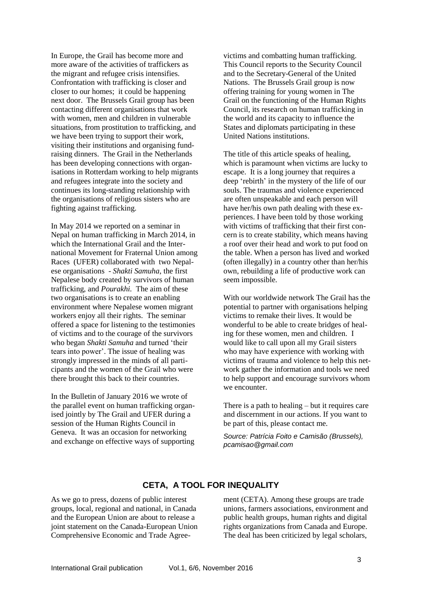In Europe, the Grail has become more and more aware of the activities of traffickers as the migrant and refugee crisis intensifies. Confrontation with trafficking is closer and closer to our homes; it could be happening next door. The Brussels Grail group has been contacting different organisations that work with women, men and children in vulnerable situations, from prostitution to trafficking, and we have been trying to support their work, visiting their institutions and organising fundraising dinners. The Grail in the Netherlands has been developing connections with organisations in Rotterdam working to help migrants and refugees integrate into the society and continues its long-standing relationship with the organisations of religious sisters who are fighting against trafficking.

In May 2014 we reported on a seminar in Nepal on human trafficking in March 2014, in which the International Grail and the International Movement for Fraternal Union among Races (UFER) collaborated with two Nepalese organisations - *Shakti Samuha*, the first Nepalese body created by survivors of human trafficking, and *Pourakhi.* The aim of these two organisations is to create an enabling environment where Nepalese women migrant workers enjoy all their rights. The seminar offered a space for listening to the testimonies of victims and to the courage of the survivors who began *Shakti Samuha* and turned 'their tears into power'. The issue of healing was strongly impressed in the minds of all participants and the women of the Grail who were there brought this back to their countries.

In the Bulletin of January 2016 we wrote of the parallel event on human trafficking organised jointly by The Grail and UFER during a session of the Human Rights Council in Geneva. It was an occasion for networking and exchange on effective ways of supporting victims and combatting human trafficking. This Council reports to the Security Council and to the Secretary-General of the United Nations. The Brussels Grail group is now offering training for young women in The Grail on the functioning of the Human Rights Council, its research on human trafficking in the world and its capacity to influence the States and diplomats participating in these United Nations institutions.

The title of this article speaks of healing, which is paramount when victims are lucky to escape. It is a long journey that requires a deep 'rebirth' in the mystery of the life of our souls. The traumas and violence experienced are often unspeakable and each person will have her/his own path dealing with these experiences. I have been told by those working with victims of trafficking that their first concern is to create stability, which means having a roof over their head and work to put food on the table. When a person has lived and worked (often illegally) in a country other than her/his own, rebuilding a life of productive work can seem impossible.

With our worldwide network The Grail has the potential to partner with organisations helping victims to remake their lives. It would be wonderful to be able to create bridges of healing for these women, men and children. I would like to call upon all my Grail sisters who may have experience with working with victims of trauma and violence to help this network gather the information and tools we need to help support and encourage survivors whom we encounter.

There is a path to healing – but it requires care and discernment in our actions. If you want to be part of this, please contact me.

*Source: Patrícia Foito e Camisão (Brussels), pcamisao@gmail.com*

## **CETA, A TOOL FOR INEQUALITY**

As we go to press, dozens of public interest groups, local, regional and national, in Canada and the European Union are about to release a joint statement on the Canada-European Union Comprehensive Economic and Trade Agreement (CETA). Among these groups are trade unions, farmers associations, environment and public health groups, human rights and digital rights organizations from Canada and Europe. The deal has been criticized by legal scholars,